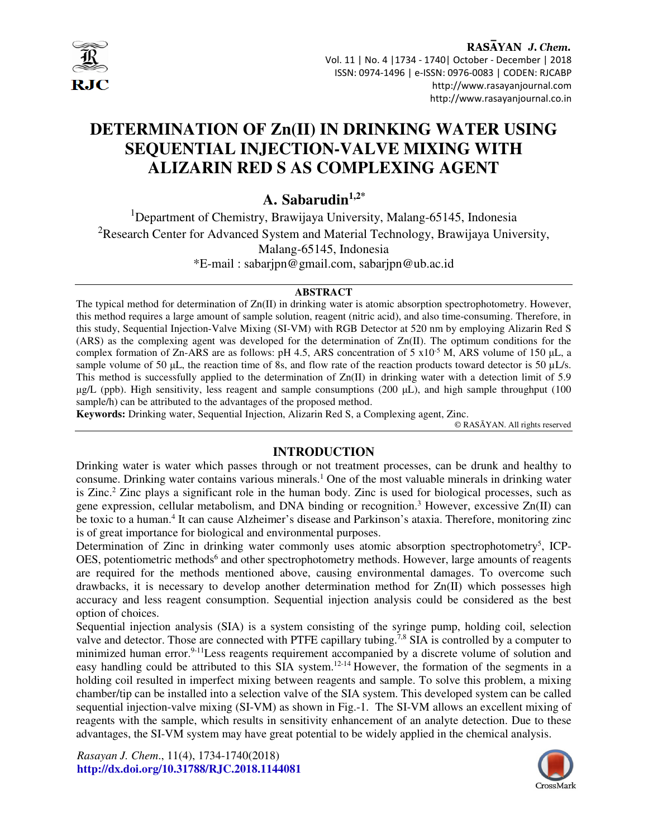

RASAYAN J. Chem. Vol. 11 | No. 4 |1734 - 1740| October - December | 2018 ISSN: 0974-1496 | e-ISSN: 0976-0083 | CODEN: RJCABP http://www.rasayanjournal.com http://www.rasayanjournal.co.in

# **DETERMINATION OF Zn(II) IN DRINKING WATER USING SEQUENTIAL INJECTION-VALVE MIXING WITH ALIZARIN RED S AS COMPLEXING AGENT**

**A. Sabarudin1,2\***

<sup>1</sup>Department of Chemistry, Brawijaya University, Malang-65145, Indonesia <sup>2</sup>Research Center for Advanced System and Material Technology, Brawijaya University, Malang-65145, Indonesia \*E-mail : sabarjpn@gmail.com, sabarjpn@ub.ac.id

### **ABSTRACT**

The typical method for determination of Zn(II) in drinking water is atomic absorption spectrophotometry. However, this method requires a large amount of sample solution, reagent (nitric acid), and also time-consuming. Therefore, in this study, Sequential Injection-Valve Mixing (SI-VM) with RGB Detector at 520 nm by employing Alizarin Red S (ARS) as the complexing agent was developed for the determination of Zn(II). The optimum conditions for the complex formation of Zn-ARS are as follows: pH 4.5, ARS concentration of 5  $x10^{-5}$  M, ARS volume of 150  $\mu$ L, a sample volume of 50  $\mu$ L, the reaction time of 8s, and flow rate of the reaction products toward detector is 50  $\mu$ L/s. This method is successfully applied to the determination of  $Zn(\Pi)$  in drinking water with a detection limit of 5.9  $\mu$ g/L (ppb). High sensitivity, less reagent and sample consumptions (200  $\mu$ L), and high sample throughput (100 sample/h) can be attributed to the advantages of the proposed method.

**Keywords:** Drinking water, Sequential Injection, Alizarin Red S, a Complexing agent, Zinc.

© RASĀYAN. All rights reserved

## **INTRODUCTION**

Drinking water is water which passes through or not treatment processes, can be drunk and healthy to consume. Drinking water contains various minerals.<sup>1</sup> One of the most valuable minerals in drinking water is Zinc.<sup>2</sup> Zinc plays a significant role in the human body. Zinc is used for biological processes, such as gene expression, cellular metabolism, and DNA binding or recognition.<sup>3</sup> However, excessive Zn(II) can be toxic to a human.<sup>4</sup> It can cause Alzheimer's disease and Parkinson's ataxia. Therefore, monitoring zinc is of great importance for biological and environmental purposes.

Determination of Zinc in drinking water commonly uses atomic absorption spectrophotometry<sup>5</sup>, ICP-OES, potentiometric methods<sup>6</sup> and other spectrophotometry methods. However, large amounts of reagents are required for the methods mentioned above, causing environmental damages. To overcome such drawbacks, it is necessary to develop another determination method for Zn(II) which possesses high accuracy and less reagent consumption. Sequential injection analysis could be considered as the best option of choices.

Sequential injection analysis (SIA) is a system consisting of the syringe pump, holding coil, selection valve and detector. Those are connected with PTFE capillary tubing.<sup>7,8</sup> SIA is controlled by a computer to minimized human error.<sup>9-11</sup>Less reagents requirement accompanied by a discrete volume of solution and easy handling could be attributed to this SIA system.12-14 However, the formation of the segments in a holding coil resulted in imperfect mixing between reagents and sample. To solve this problem, a mixing chamber/tip can be installed into a selection valve of the SIA system. This developed system can be called sequential injection-valve mixing (SI-VM) as shown in Fig.-1. The SI-VM allows an excellent mixing of reagents with the sample, which results in sensitivity enhancement of an analyte detection. Due to these advantages, the SI-VM system may have great potential to be widely applied in the chemical analysis.

*Rasayan J. Chem*., 11(4), 1734-1740(2018) **http://dx.doi.org/10.31788/RJC.2018.1144081** 

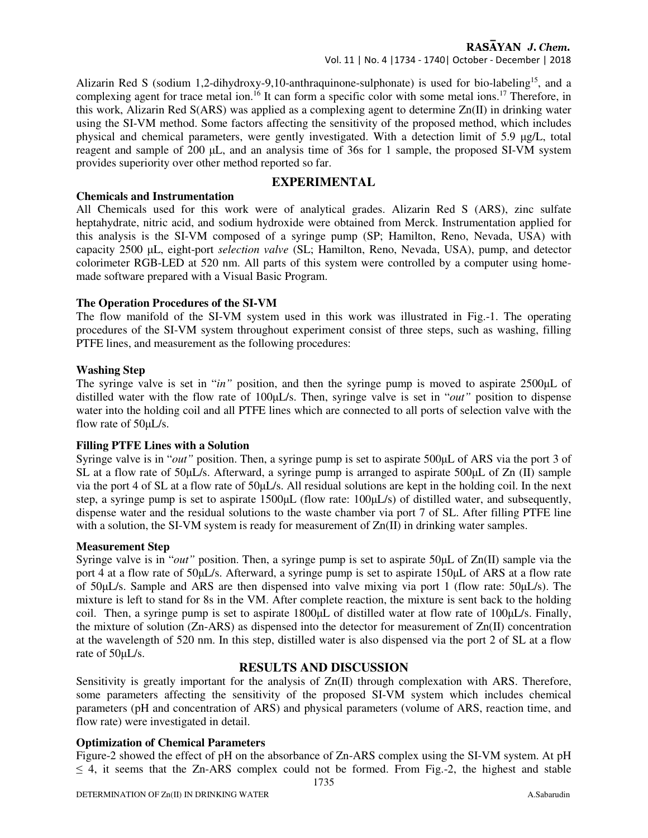## RASAYAN J. Chem.

Vol. 11 | No. 4 |1734 - 1740| October - December | 2018

Alizarin Red S (sodium 1,2-dihydroxy-9,10-anthraquinone-sulphonate) is used for bio-labeling<sup>15</sup>, and a complexing agent for trace metal ion.<sup>16</sup> It can form a specific color with some metal ions.<sup>17</sup> Therefore, in this work, Alizarin Red S(ARS) was applied as a complexing agent to determine Zn(II) in drinking water using the SI-VM method. Some factors affecting the sensitivity of the proposed method, which includes physical and chemical parameters, were gently investigated. With a detection limit of 5.9 µg/L, total reagent and sample of 200 µL, and an analysis time of 36s for 1 sample, the proposed SI-VM system provides superiority over other method reported so far.

# **EXPERIMENTAL**

### **Chemicals and Instrumentation**

All Chemicals used for this work were of analytical grades. Alizarin Red S (ARS), zinc sulfate heptahydrate, nitric acid, and sodium hydroxide were obtained from Merck. Instrumentation applied for this analysis is the SI-VM composed of a syringe pump (SP; Hamilton, Reno, Nevada, USA) with capacity 2500 µL, eight-port *selection valve* (SL; Hamilton, Reno, Nevada, USA), pump, and detector colorimeter RGB-LED at 520 nm. All parts of this system were controlled by a computer using homemade software prepared with a Visual Basic Program.

## **The Operation Procedures of the SI-VM**

The flow manifold of the SI-VM system used in this work was illustrated in Fig.-1. The operating procedures of the SI-VM system throughout experiment consist of three steps, such as washing, filling PTFE lines, and measurement as the following procedures:

### **Washing Step**

The syringe valve is set in "*in*" position, and then the syringe pump is moved to aspirate 2500µL of distilled water with the flow rate of 100<sub>µ</sub>L/s. Then, syringe valve is set in "*out*" position to dispense water into the holding coil and all PTFE lines which are connected to all ports of selection valve with the flow rate of 50µL/s.

## **Filling PTFE Lines with a Solution**

Syringe valve is in "*out*" position. Then, a syringe pump is set to aspirate 500 $\mu$ L of ARS via the port 3 of SL at a flow rate of 50µL/s. Afterward, a syringe pump is arranged to aspirate 500µL of Zn (II) sample via the port 4 of SL at a flow rate of 50µL/s. All residual solutions are kept in the holding coil. In the next step, a syringe pump is set to aspirate 1500µL (flow rate: 100µL/s) of distilled water, and subsequently, dispense water and the residual solutions to the waste chamber via port 7 of SL. After filling PTFE line with a solution, the SI-VM system is ready for measurement of  $Zn(II)$  in drinking water samples.

#### **Measurement Step**

Syringe valve is in "*out*" position. Then, a syringe pump is set to aspirate 50 $\mu$ L of Zn(II) sample via the port 4 at a flow rate of 50µL/s. Afterward, a syringe pump is set to aspirate 150µL of ARS at a flow rate of 50µL/s. Sample and ARS are then dispensed into valve mixing via port 1 (flow rate: 50µL/s). The mixture is left to stand for 8s in the VM. After complete reaction, the mixture is sent back to the holding coil. Then, a syringe pump is set to aspirate 1800<sub>µ</sub>L of distilled water at flow rate of 100µL/s. Finally, the mixture of solution ( $Zn-ARS$ ) as dispensed into the detector for measurement of  $Zn(II)$  concentration at the wavelength of 520 nm. In this step, distilled water is also dispensed via the port 2 of SL at a flow rate of 50µL/s.

## **RESULTS AND DISCUSSION**

Sensitivity is greatly important for the analysis of  $Zn(II)$  through complexation with ARS. Therefore, some parameters affecting the sensitivity of the proposed SI-VM system which includes chemical parameters (pH and concentration of ARS) and physical parameters (volume of ARS, reaction time, and flow rate) were investigated in detail.

## **Optimization of Chemical Parameters**

Figure-2 showed the effect of pH on the absorbance of Zn-ARS complex using the SI-VM system. At pH  $\leq$  4, it seems that the Zn-ARS complex could not be formed. From Fig.-2, the highest and stable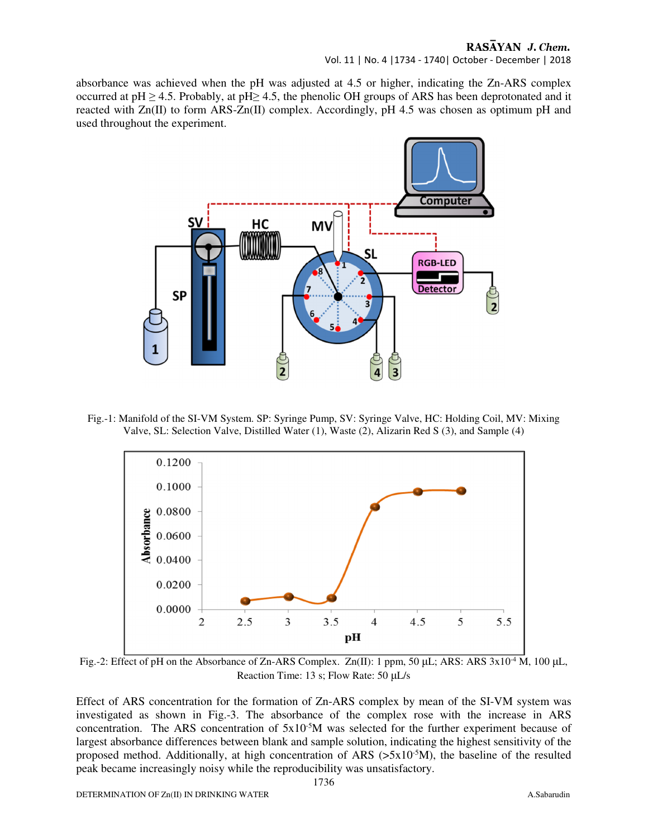# RASAYAN J. Chem.

Vol. 11 | No. 4 |1734 - 1740| October - December | 2018

absorbance was achieved when the pH was adjusted at 4.5 or higher, indicating the Zn-ARS complex occurred at  $pH \ge 4.5$ . Probably, at  $pH \ge 4.5$ , the phenolic OH groups of ARS has been deprotonated and it reacted with Zn(II) to form ARS-Zn(II) complex. Accordingly, pH 4.5 was chosen as optimum pH and used throughout the experiment.



Fig.-1: Manifold of the SI-VM System. SP: Syringe Pump, SV: Syringe Valve, HC: Holding Coil, MV: Mixing Valve, SL: Selection Valve, Distilled Water (1), Waste (2), Alizarin Red S (3), and Sample (4)



Fig.-2: Effect of pH on the Absorbance of Zn-ARS Complex. Zn(II): 1 ppm, 50 µL; ARS: ARS  $3x10^{-4}$  M, 100 µL, Reaction Time: 13 s; Flow Rate: 50 µL/s

Effect of ARS concentration for the formation of Zn-ARS complex by mean of the SI-VM system was investigated as shown in Fig.-3. The absorbance of the complex rose with the increase in ARS concentration. The ARS concentration of  $5x10^{-5}M$  was selected for the further experiment because of largest absorbance differences between blank and sample solution, indicating the highest sensitivity of the proposed method. Additionally, at high concentration of ARS ( $>5x10^{-5}M$ ), the baseline of the resulted peak became increasingly noisy while the reproducibility was unsatisfactory.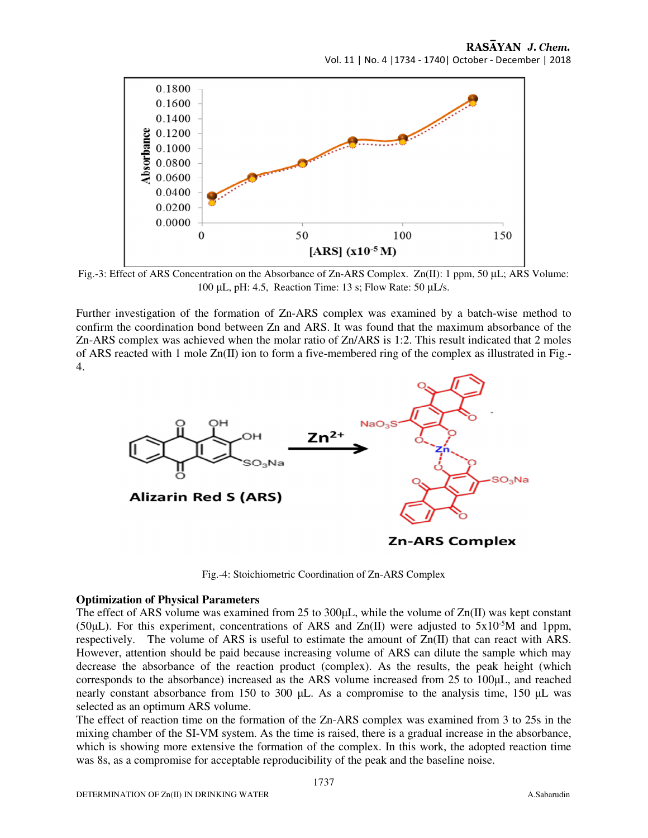

Fig.-3: Effect of ARS Concentration on the Absorbance of Zn-ARS Complex. Zn(II): 1 ppm, 50 µL; ARS Volume: 100 µL, pH: 4.5, Reaction Time: 13 s; Flow Rate: 50 µL/s.

Further investigation of the formation of Zn-ARS complex was examined by a batch-wise method to confirm the coordination bond between Zn and ARS. It was found that the maximum absorbance of the Zn-ARS complex was achieved when the molar ratio of Zn/ARS is 1:2. This result indicated that 2 moles of ARS reacted with 1 mole Zn(II) ion to form a five-membered ring of the complex as illustrated in Fig.- 4.



Fig.-4: Stoichiometric Coordination of Zn-ARS Complex

#### **Optimization of Physical Parameters**

The effect of ARS volume was examined from 25 to  $300 \mu L$ , while the volume of  $Zn(II)$  was kept constant (50 $\mu$ L). For this experiment, concentrations of ARS and Zn(II) were adjusted to 5x10<sup>-5</sup>M and 1ppm, respectively. The volume of ARS is useful to estimate the amount of Zn(II) that can react with ARS. However, attention should be paid because increasing volume of ARS can dilute the sample which may decrease the absorbance of the reaction product (complex). As the results, the peak height (which corresponds to the absorbance) increased as the ARS volume increased from 25 to 100µL, and reached nearly constant absorbance from 150 to 300 µL. As a compromise to the analysis time, 150 µL was selected as an optimum ARS volume.

The effect of reaction time on the formation of the Zn-ARS complex was examined from 3 to 25s in the mixing chamber of the SI-VM system. As the time is raised, there is a gradual increase in the absorbance, which is showing more extensive the formation of the complex. In this work, the adopted reaction time was 8s, as a compromise for acceptable reproducibility of the peak and the baseline noise.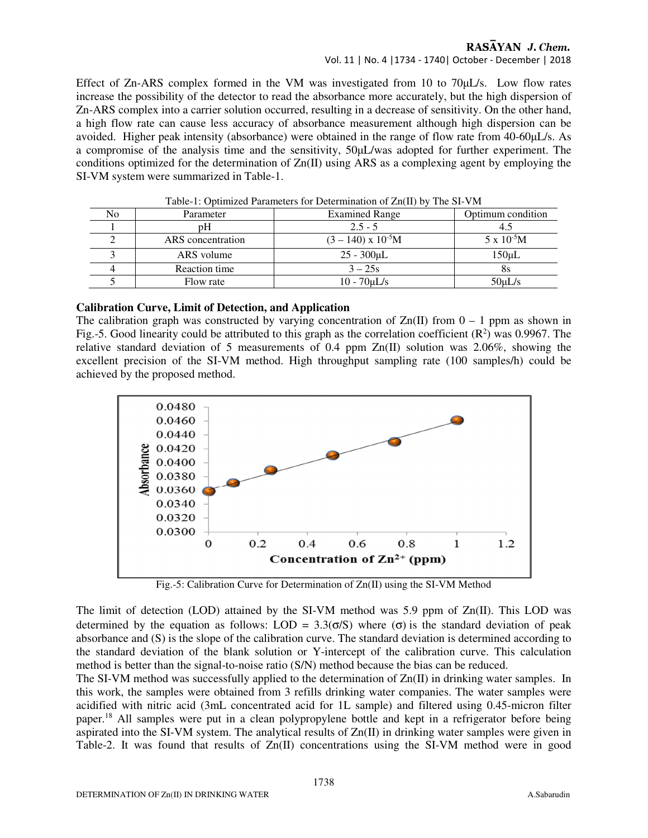## RASAYAN J. Chem.

## Vol. 11 | No. 4 |1734 - 1740| October - December | 2018

Effect of Zn-ARS complex formed in the VM was investigated from 10 to 70µL/s. Low flow rates increase the possibility of the detector to read the absorbance more accurately, but the high dispersion of Zn-ARS complex into a carrier solution occurred, resulting in a decrease of sensitivity. On the other hand, a high flow rate can cause less accuracy of absorbance measurement although high dispersion can be avoided. Higher peak intensity (absorbance) were obtained in the range of flow rate from 40-60µL/s. As a compromise of the analysis time and the sensitivity, 50µL/was adopted for further experiment. The conditions optimized for the determination of Zn(II) using ARS as a complexing agent by employing the SI-VM system were summarized in Table-1.

| Table-1. Optimized Parameters for Determination of Zil(11) by The SI-VIN |                   |                           |                      |  |
|--------------------------------------------------------------------------|-------------------|---------------------------|----------------------|--|
| No                                                                       | Parameter         | <b>Examined Range</b>     | Optimum condition    |  |
|                                                                          | рH                | $2.5 - 5$                 |                      |  |
|                                                                          | ARS concentration | $(3 - 140)$ x $10^{-5}$ M | $5 \times 10^{-5}$ M |  |
|                                                                          | ARS volume        | $25 - 300 \mu L$          | $150 \mu L$          |  |
|                                                                          | Reaction time     | $3 - 25s$                 | oз                   |  |
|                                                                          | Flow rate         | $10 - 70$ uL/s            | $50 \mu L/s$         |  |

Table-1: Optimized Parameters for Determination of Zn(II) by The SI-VM

#### **Calibration Curve, Limit of Detection, and Application**

The calibration graph was constructed by varying concentration of  $Zn(II)$  from  $0 - 1$  ppm as shown in Fig.-5. Good linearity could be attributed to this graph as the correlation coefficient  $(R^2)$  was 0.9967. The relative standard deviation of 5 measurements of 0.4 ppm Zn(II) solution was 2.06%, showing the excellent precision of the SI-VM method. High throughput sampling rate (100 samples/h) could be achieved by the proposed method.



Fig.-5: Calibration Curve for Determination of Zn(II) using the SI-VM Method

The limit of detection (LOD) attained by the SI-VM method was 5.9 ppm of Zn(II). This LOD was determined by the equation as follows: LOD =  $3.3(\sigma/S)$  where  $(\sigma)$  is the standard deviation of peak absorbance and (S) is the slope of the calibration curve. The standard deviation is determined according to the standard deviation of the blank solution or Y-intercept of the calibration curve. This calculation method is better than the signal-to-noise ratio (S/N) method because the bias can be reduced.

The SI-VM method was successfully applied to the determination of Zn(II) in drinking water samples. In this work, the samples were obtained from 3 refills drinking water companies. The water samples were acidified with nitric acid (3mL concentrated acid for 1L sample) and filtered using 0.45-micron filter paper.<sup>18</sup> All samples were put in a clean polypropylene bottle and kept in a refrigerator before being aspirated into the SI-VM system. The analytical results of Zn(II) in drinking water samples were given in Table-2. It was found that results of Zn(II) concentrations using the SI-VM method were in good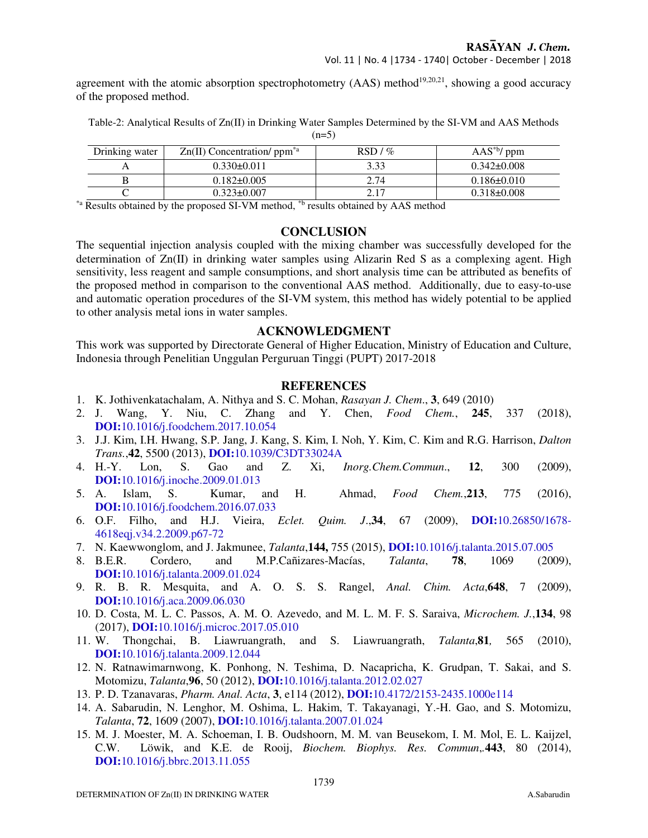agreement with the atomic absorption spectrophotometry  $(AAS)$  method<sup>19,20,21</sup>, showing a good accuracy of the proposed method.

Table-2: Analytical Results of Zn(II) in Drinking Water Samples Determined by the SI-VM and AAS Methods  $(n=5)$ 

| Drinking water | $Zn(II)$ Concentration/ ppm <sup>*a</sup> | $RSD/$ % | $\text{AAS}^{*b}$ / ppm |
|----------------|-------------------------------------------|----------|-------------------------|
|                | $0.330\pm0.011$                           | 3.33     | $0.342\pm0.008$         |
|                | $0.182 \pm 0.005$                         | 2.74     | $0.186 \pm 0.010$       |
|                | $0.323 \pm 0.007$                         | 217      | $0.318\pm0.008$         |

\*a Results obtained by the proposed SI-VM method, \*b results obtained by AAS method

#### **CONCLUSION**

The sequential injection analysis coupled with the mixing chamber was successfully developed for the determination of  $Zn(II)$  in drinking water samples using Alizarin Red S as a complexing agent. High sensitivity, less reagent and sample consumptions, and short analysis time can be attributed as benefits of the proposed method in comparison to the conventional AAS method. Additionally, due to easy-to-use and automatic operation procedures of the SI-VM system, this method has widely potential to be applied to other analysis metal ions in water samples.

### **ACKNOWLEDGMENT**

This work was supported by Directorate General of Higher Education, Ministry of Education and Culture, Indonesia through Penelitian Unggulan Perguruan Tinggi (PUPT) 2017-2018

#### **REFERENCES**

- 1. K. Jothivenkatachalam, A. Nithya and S. C. Mohan, *Rasayan J. Chem*., **3**, 649 (2010)
- 2. J. Wang, Y. Niu, C. Zhang and Y. Chen, *Food Chem.*, **245**, 337 (2018), **DOI:**10.1016/j.foodchem.2017.10.054
- 3. J.J. Kim, I.H. Hwang, S.P. Jang, J. Kang, S. Kim, I. Noh, Y. Kim, C. Kim and R.G. Harrison, *Dalton Trans.*,**42**, 5500 (2013), **DOI:**10.1039/C3DT33024A
- 4. H.-Y. Lon, S. Gao and Z. Xi, *Inorg.Chem.Commun*., **12**, 300 (2009), **DOI:**10.1016/j.inoche.2009.01.013
- 5. A. Islam, S. Kumar, and H. Ahmad, *Food Chem.*,**213**, 775 (2016), **DOI:**10.1016/j.foodchem.2016.07.033
- 6. O.F. Filho, and H.J. Vieira, *Eclet. Quim. J*.,**34**, 67 (2009), **DOI:**10.26850/1678- 4618eqj.v34.2.2009.p67-72
- 7. N. Kaewwonglom, and J. Jakmunee, *Talanta*,**144,** 755 (2015), **DOI:**10.1016/j.talanta.2015.07.005
- 8. B.E.R. Cordero, and M.P.Cañizares-Macías, *Talanta*, **78**, 1069 (2009), **DOI:**10.1016/j.talanta.2009.01.024
- 9. R. B. R. Mesquita, and A. O. S. S. Rangel, *Anal. Chim. Acta*,**648**, 7 (2009), **DOI:**10.1016/j.aca.2009.06.030
- 10. D. Costa, M. L. C. Passos, A. M. O. Azevedo, and M. L. M. F. S. Saraiva, *Microchem. J.*,**134**, 98 (2017), **DOI:**10.1016/j.microc.2017.05.010
- 11. W. Thongchai, B. Liawruangrath, and S. Liawruangrath, *Talanta*,**81***,* 565 (2010), **DOI:**10.1016/j.talanta.2009.12.044
- 12. N. Ratnawimarnwong, K. Ponhong, N. Teshima, D. Nacapricha, K. Grudpan, T. Sakai, and S. Motomizu, *Talanta*,**96**, 50 (2012), **DOI:**10.1016/j.talanta.2012.02.027
- 13. P. D. Tzanavaras, *Pharm. Anal. Acta*, **3**, e114 (2012), **DOI:**10.4172/2153-2435.1000e114
- 14. A. Sabarudin, N. Lenghor, M. Oshima, L. Hakim, T. Takayanagi, Y.-H. Gao, and S. Motomizu, *Talanta*, **72**, 1609 (2007), **DOI:**10.1016/j.talanta.2007.01.024
- 15. M. J. Moester, M. A. Schoeman, I. B. Oudshoorn, M. M. van Beusekom, I. M. Mol, E. L. Kaijzel, C.W. Löwik, and K.E. de Rooij, *Biochem. Biophys. Res. Commun*,*.***443**, 80 (2014), **DOI:**10.1016/j.bbrc.2013.11.055